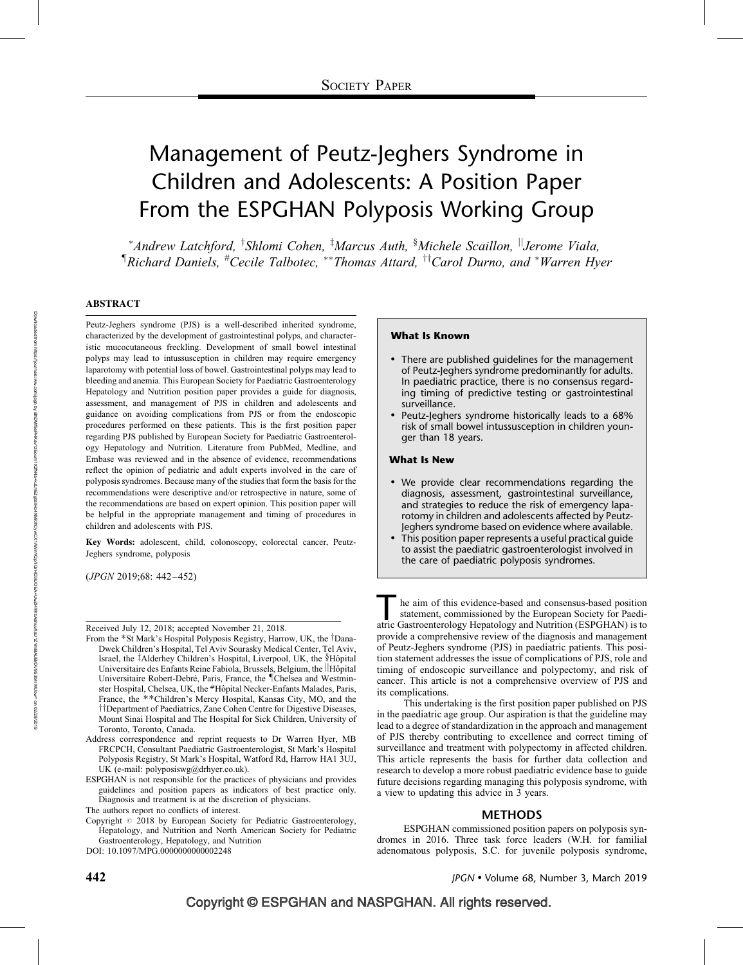# Management of Peutz-Jeghers Syndrome in Children and Adolescents: A Position Paper From the ESPGHAN Polyposis Working Group

\*Andrew Latchford, <sup>†</sup>Shlomi Cohen, <sup>‡</sup>Marcus Auth, <sup>§</sup>Michele Scaillon, <sup>||</sup>Jerome Viala, <sup>¶</sup>Richard Daniels, <sup>#</sup>Cecile Talbotec, \*\*Thomas Attard, <sup>††</sup>Carol Durno, and \*Warren Hyer

#### ABSTRACT

Peutz-Jeghers syndrome (PJS) is a well-described inherited syndrome, characterized by the development of gastrointestinal polyps, and characteristic mucocutaneous freckling. Development of small bowel intestinal polyps may lead to intussusception in children may require emergency laparotomy with potential loss of bowel. Gastrointestinal polyps may lead to bleeding and anemia. This European Society for Paediatric Gastroenterology Hepatology and Nutrition position paper provides a guide for diagnosis, assessment, and management of PJS in children and adolescents and guidance on avoiding complications from PJS or from the endoscopic procedures performed on these patients. This is the first position paper regarding PJS published by European Society for Paediatric Gastroenterology Hepatology and Nutrition. Literature from PubMed, Medline, and Embase was reviewed and in the absence of evidence, recommendations reflect the opinion of pediatric and adult experts involved in the care of polyposis syndromes. Because many of the studies that form the basis for the recommendations were descriptive and/or retrospective in nature, some of the recommendations are based on expert opinion. This position paper will be helpful in the appropriate management and timing of procedures in children and adolescents with PJS.

Key Words: adolescent, child, colonoscopy, colorectal cancer, Peutz-Jeghers syndrome, polyposis

(JPGN 2019;68: 442–452)

Received July 12, 2018; accepted November 21, 2018.

- From the \*St Mark's Hospital Polyposis Registry, Harrow, UK, the <sup>†</sup>Dana-Dwek Children's Hospital, Tel Aviv Sourasky Medical Center, Tel Aviv, Israel, the ‡Alderhey Children's Hospital, Liverpool, UK, the §Hôpital Universitaire des Enfants Reine Fabiola, Brussels, Belgium, the |Hôpital Universitaire Robert-Debré, Paris, France, the <sup>¶</sup>Chelsea and Westminster Hospital, Chelsea, UK, the #Hôpital Necker-Enfants Malades, Paris, France, the \*\*Children's Mercy Hospital, Kansas City, MO, and the <sup>††</sup>Department of Paediatrics, Zane Cohen Centre for Digestive Diseases, Mount Sinai Hospital and The Hospital for Sick Children, University of Toronto, Toronto, Canada.
- Address correspondence and reprint requests to Dr Warren Hyer, MB FRCPCH, Consultant Paediatric Gastroenterologist, St Mark's Hospital Polyposis Registry, St Mark's Hospital, Watford Rd, Harrow HA1 3UJ, UK (e-mail: [polyposiswg@drhyer.co.uk\)](mailto:polyposiswg@drhyer.co.uk).
- ESPGHAN is not responsible for the practices of physicians and provides guidelines and position papers as indicators of best practice only. Diagnosis and treatment is at the discretion of physicians.

Copyright  $\oslash$  2018 by European Society for Pediatric Gastroenterology, Hepatology, and Nutrition and North American Society for Pediatric Gastroenterology, Hepatology, and Nutrition

DOI: [10.1097/MPG.0000000000002248](http://dx.doi.org/10.1097/MPG.0000000000002248)

#### What Is Known

- There are published guidelines for the management of Peutz-Jeghers syndrome predominantly for adults. In paediatric practice, there is no consensus regarding timing of predictive testing or gastrointestinal surveillance.
- Peutz-Jeghers syndrome historically leads to a 68% risk of small bowel intussusception in children younger than 18 years.

#### What Is New

- We provide clear recommendations regarding the diagnosis, assessment, gastrointestinal surveillance, and strategies to reduce the risk of emergency laparotomy in children and adolescents affected by Peutz-Jeghers syndrome based on evidence where available.
- This position paper represents a useful practical guide to assist the paediatric gastroenterologist involved in the care of paediatric polyposis syndromes.

The aim of this evidence-based and consensus-based position statement, commissioned by the European Society for Paediatric Gastroenterology Hepatology and Nutrition (ESPGHAN) is to statement, commissioned by the European Society for Paediatric Gastroenterology Hepatology and Nutrition (ESPGHAN) is to provide a comprehensive review of the diagnosis and management of Peutz-Jeghers syndrome (PJS) in paediatric patients. This position statement addresses the issue of complications of PJS, role and timing of endoscopic surveillance and polypectomy, and risk of cancer. This article is not a comprehensive overview of PJS and its complications.

This undertaking is the first position paper published on PJS in the paediatric age group. Our aspiration is that the guideline may lead to a degree of standardization in the approach and management of PJS thereby contributing to excellence and correct timing of surveillance and treatment with polypectomy in affected children. This article represents the basis for further data collection and research to develop a more robust paediatric evidence base to guide future decisions regarding managing this polyposis syndrome, with a view to updating this advice in 3 years.

#### METHODS

ESPGHAN commissioned position papers on polyposis syndromes in 2016. Three task force leaders (W.H. for familial adenomatous polyposis, S.C. for juvenile polyposis syndrome,

The authors report no conflicts of interest.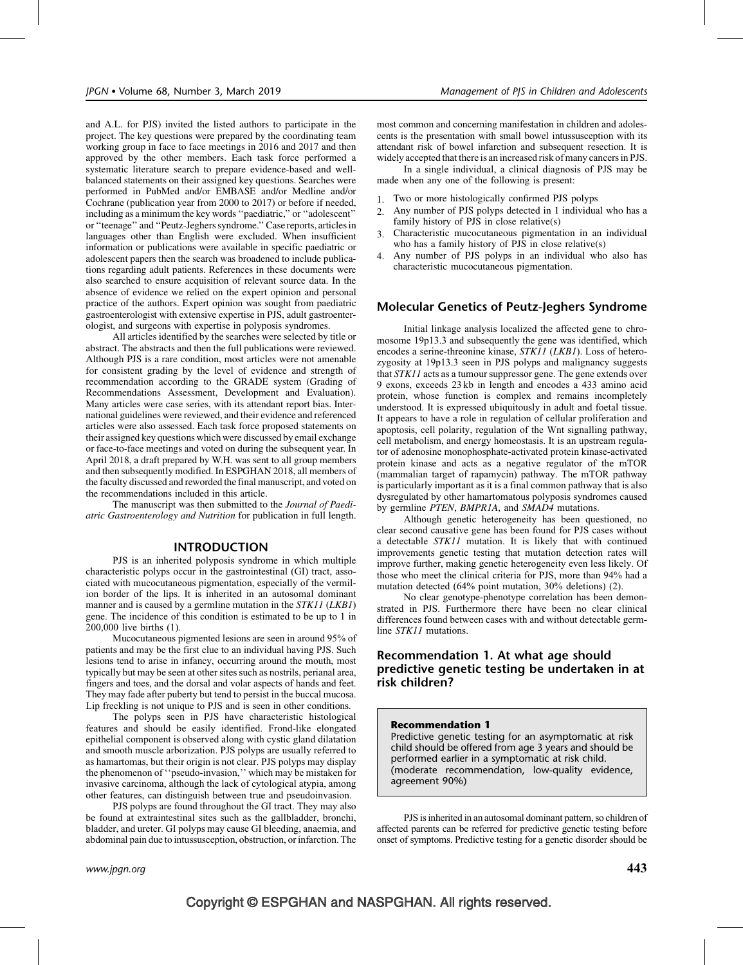and A.L. for PJS) invited the listed authors to participate in the project. The key questions were prepared by the coordinating team working group in face to face meetings in 2016 and 2017 and then approved by the other members. Each task force performed a systematic literature search to prepare evidence-based and wellbalanced statements on their assigned key questions. Searches were performed in PubMed and/or EMBASE and/or Medline and/or Cochrane (publication year from 2000 to 2017) or before if needed, including as a minimum the key words ''paediatric,'' or ''adolescent'' or ''teenage'' and ''Peutz-Jeghers syndrome.'' Case reports, articlesin languages other than English were excluded. When insufficient information or publications were available in specific paediatric or adolescent papers then the search was broadened to include publications regarding adult patients. References in these documents were also searched to ensure acquisition of relevant source data. In the absence of evidence we relied on the expert opinion and personal practice of the authors. Expert opinion was sought from paediatric gastroenterologist with extensive expertise in PJS, adult gastroenterologist, and surgeons with expertise in polyposis syndromes.

All articles identified by the searches were selected by title or abstract. The abstracts and then the full publications were reviewed. Although PJS is a rare condition, most articles were not amenable for consistent grading by the level of evidence and strength of recommendation according to the GRADE system (Grading of Recommendations Assessment, Development and Evaluation). Many articles were case series, with its attendant report bias. International guidelines were reviewed, and their evidence and referenced articles were also assessed. Each task force proposed statements on their assigned key questions which were discussed by email exchange or face-to-face meetings and voted on during the subsequent year. In April 2018, a draft prepared by W.H. was sent to all group members and then subsequently modified. In ESPGHAN 2018, all members of the faculty discussed and reworded the final manuscript, and voted on the recommendations included in this article.

The manuscript was then submitted to the Journal of Paediatric Gastroenterology and Nutrition for publication in full length.

### INTRODUCTION

PJS is an inherited polyposis syndrome in which multiple characteristic polyps occur in the gastrointestinal (GI) tract, associated with mucocutaneous pigmentation, especially of the vermilion border of the lips. It is inherited in an autosomal dominant manner and is caused by a germline mutation in the STK11 (LKB1) gene. The incidence of this condition is estimated to be up to 1 in 200,000 live births (1).

Mucocutaneous pigmented lesions are seen in around 95% of patients and may be the first clue to an individual having PJS. Such lesions tend to arise in infancy, occurring around the mouth, most typically but may be seen at other sites such as nostrils, perianal area, fingers and toes, and the dorsal and volar aspects of hands and feet. They may fade after puberty but tend to persist in the buccal mucosa. Lip freckling is not unique to PJS and is seen in other conditions.

The polyps seen in PJS have characteristic histological features and should be easily identified. Frond-like elongated epithelial component is observed along with cystic gland dilatation and smooth muscle arborization. PJS polyps are usually referred to as hamartomas, but their origin is not clear. PJS polyps may display the phenomenon of ''pseudo-invasion,'' which may be mistaken for invasive carcinoma, although the lack of cytological atypia, among other features, can distinguish between true and pseudoinvasion.

PJS polyps are found throughout the GI tract. They may also be found at extraintestinal sites such as the gallbladder, bronchi, bladder, and ureter. GI polyps may cause GI bleeding, anaemia, and abdominal pain due to intussusception, obstruction, or infarction. The

In a single individual, a clinical diagnosis of PJS may be made when any one of the following is present:

- 1. Two or more histologically confirmed PJS polyps
- 2. Any number of PJS polyps detected in 1 individual who has a family history of PJS in close relative(s)
- 3. Characteristic mucocutaneous pigmentation in an individual who has a family history of PJS in close relative(s)
- 4. Any number of PJS polyps in an individual who also has characteristic mucocutaneous pigmentation.

### Molecular Genetics of Peutz-Jeghers Syndrome

Initial linkage analysis localized the affected gene to chromosome 19p13.3 and subsequently the gene was identified, which encodes a serine-threonine kinase, STK11 (LKB1). Loss of heterozygosity at 19p13.3 seen in PJS polyps and malignancy suggests that STK11 acts as a tumour suppressor gene. The gene extends over 9 exons, exceeds 23 kb in length and encodes a 433 amino acid protein, whose function is complex and remains incompletely understood. It is expressed ubiquitously in adult and foetal tissue. It appears to have a role in regulation of cellular proliferation and apoptosis, cell polarity, regulation of the Wnt signalling pathway, cell metabolism, and energy homeostasis. It is an upstream regulator of adenosine monophosphate-activated protein kinase-activated protein kinase and acts as a negative regulator of the mTOR (mammalian target of rapamycin) pathway. The mTOR pathway is particularly important as it is a final common pathway that is also dysregulated by other hamartomatous polyposis syndromes caused by germline PTEN, BMPR1A, and SMAD4 mutations.

Although genetic heterogeneity has been questioned, no clear second causative gene has been found for PJS cases without a detectable STK11 mutation. It is likely that with continued improvements genetic testing that mutation detection rates will improve further, making genetic heterogeneity even less likely. Of those who meet the clinical criteria for PJS, more than 94% had a mutation detected (64% point mutation, 30% deletions) (2).

No clear genotype-phenotype correlation has been demonstrated in PJS. Furthermore there have been no clear clinical differences found between cases with and without detectable germline STK11 mutations.

### Recommendation 1. At what age should predictive genetic testing be undertaken in at risk children?

### Recommendation 1

Predictive genetic testing for an asymptomatic at risk child should be offered from age 3 years and should be performed earlier in a symptomatic at risk child. (moderate recommendation, low-quality evidence, agreement 90%)

PJS is inherited in an autosomal dominant pattern, so children of affected parents can be referred for predictive genetic testing before onset of symptoms. Predictive testing for a genetic disorder should be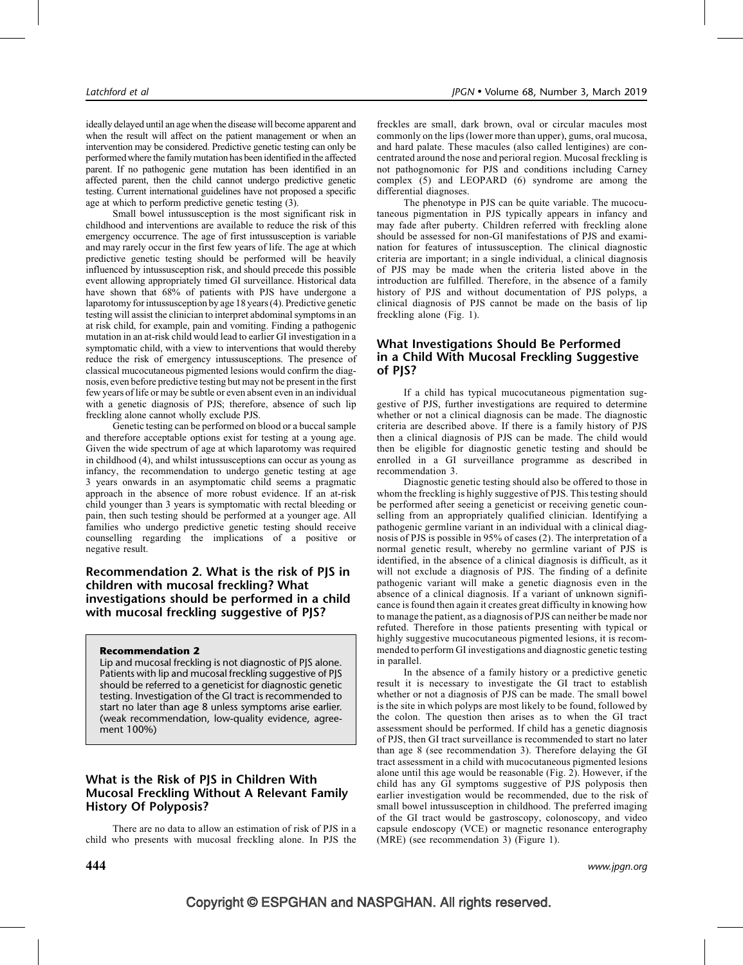ideally delayed until an age when the disease will become apparent and when the result will affect on the patient management or when an intervention may be considered. Predictive genetic testing can only be performed where the family mutation has been identified in the affected parent. If no pathogenic gene mutation has been identified in an affected parent, then the child cannot undergo predictive genetic testing. Current international guidelines have not proposed a specific age at which to perform predictive genetic testing (3).

Small bowel intussusception is the most significant risk in childhood and interventions are available to reduce the risk of this emergency occurrence. The age of first intussusception is variable and may rarely occur in the first few years of life. The age at which predictive genetic testing should be performed will be heavily influenced by intussusception risk, and should precede this possible event allowing appropriately timed GI surveillance. Historical data have shown that 68% of patients with PJS have undergone a laparotomy for intussusception by age 18 years (4). Predictive genetic testing will assist the clinician to interpret abdominal symptoms in an at risk child, for example, pain and vomiting. Finding a pathogenic mutation in an at-risk child would lead to earlier GI investigation in a symptomatic child, with a view to interventions that would thereby reduce the risk of emergency intussusceptions. The presence of classical mucocutaneous pigmented lesions would confirm the diagnosis, even before predictive testing but may not be present in the first few years of life or may be subtle or even absent even in an individual with a genetic diagnosis of PJS; therefore, absence of such lip freckling alone cannot wholly exclude PJS.

Genetic testing can be performed on blood or a buccal sample and therefore acceptable options exist for testing at a young age. Given the wide spectrum of age at which laparotomy was required in childhood (4), and whilst intussusceptions can occur as young as infancy, the recommendation to undergo genetic testing at age 3 years onwards in an asymptomatic child seems a pragmatic approach in the absence of more robust evidence. If an at-risk child younger than 3 years is symptomatic with rectal bleeding or pain, then such testing should be performed at a younger age. All families who undergo predictive genetic testing should receive counselling regarding the implications of a positive or negative result.

Recommendation 2. What is the risk of PJS in children with mucosal freckling? What investigations should be performed in a child with mucosal freckling suggestive of PJS?

### Recommendation 2

Lip and mucosal freckling is not diagnostic of PJS alone. Patients with lip and mucosal freckling suggestive of PJS should be referred to a geneticist for diagnostic genetic testing. Investigation of the GI tract is recommended to start no later than age 8 unless symptoms arise earlier. (weak recommendation, low-quality evidence, agreement 100%)

# What is the Risk of PJS in Children With Mucosal Freckling Without A Relevant Family History Of Polyposis?

There are no data to allow an estimation of risk of PJS in a child who presents with mucosal freckling alone. In PJS the freckles are small, dark brown, oval or circular macules most commonly on the lips (lower more than upper), gums, oral mucosa, and hard palate. These macules (also called lentigines) are concentrated around the nose and perioral region. Mucosal freckling is not pathognomonic for PJS and conditions including Carney complex (5) and LEOPARD (6) syndrome are among the differential diagnoses.

The phenotype in PJS can be quite variable. The mucocutaneous pigmentation in PJS typically appears in infancy and may fade after puberty. Children referred with freckling alone should be assessed for non-GI manifestations of PJS and examination for features of intussusception. The clinical diagnostic criteria are important; in a single individual, a clinical diagnosis of PJS may be made when the criteria listed above in the introduction are fulfilled. Therefore, in the absence of a family history of PJS and without documentation of PJS polyps, a clinical diagnosis of PJS cannot be made on the basis of lip freckling alone (Fig. 1).

# What Investigations Should Be Performed in a Child With Mucosal Freckling Suggestive of PJS?

If a child has typical mucocutaneous pigmentation suggestive of PJS, further investigations are required to determine whether or not a clinical diagnosis can be made. The diagnostic criteria are described above. If there is a family history of PJS then a clinical diagnosis of PJS can be made. The child would then be eligible for diagnostic genetic testing and should be enrolled in a GI surveillance programme as described in recommendation 3.

Diagnostic genetic testing should also be offered to those in whom the freckling is highly suggestive of PJS. This testing should be performed after seeing a geneticist or receiving genetic counselling from an appropriately qualified clinician. Identifying a pathogenic germline variant in an individual with a clinical diagnosis of PJS is possible in 95% of cases (2). The interpretation of a normal genetic result, whereby no germline variant of PJS is identified, in the absence of a clinical diagnosis is difficult, as it will not exclude a diagnosis of PJS. The finding of a definite pathogenic variant will make a genetic diagnosis even in the absence of a clinical diagnosis. If a variant of unknown significance is found then again it creates great difficulty in knowing how to manage the patient, as a diagnosis of PJS can neither be made nor refuted. Therefore in those patients presenting with typical or highly suggestive mucocutaneous pigmented lesions, it is recommended to perform GI investigations and diagnostic genetic testing in parallel.

In the absence of a family history or a predictive genetic result it is necessary to investigate the GI tract to establish whether or not a diagnosis of PJS can be made. The small bowel is the site in which polyps are most likely to be found, followed by the colon. The question then arises as to when the GI tract assessment should be performed. If child has a genetic diagnosis of PJS, then GI tract surveillance is recommended to start no later than age 8 (see recommendation 3). Therefore delaying the GI tract assessment in a child with mucocutaneous pigmented lesions alone until this age would be reasonable (Fig. 2). However, if the child has any GI symptoms suggestive of PJS polyposis then earlier investigation would be recommended, due to the risk of small bowel intussusception in childhood. The preferred imaging of the GI tract would be gastroscopy, colonoscopy, and video capsule endoscopy (VCE) or magnetic resonance enterography (MRE) (see recommendation 3) (Figure 1).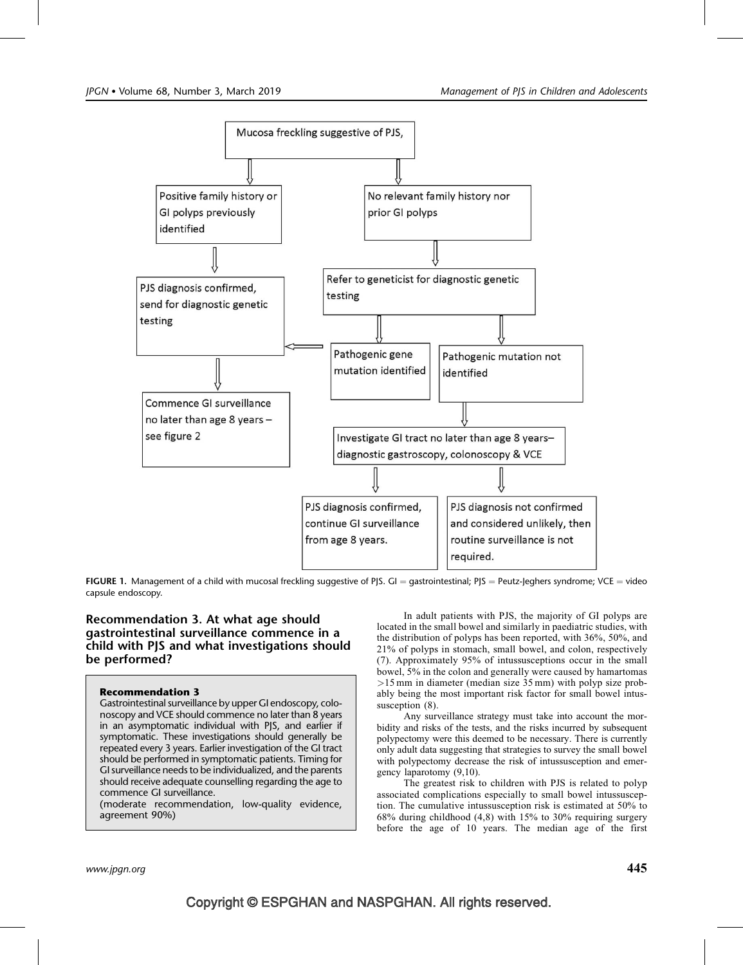

FIGURE 1. Management of a child with mucosal freckling suggestive of PJS. GI = gastrointestinal; PJS = Peutz-Jeghers syndrome; VCE = video capsule endoscopy.

# Recommendation 3. At what age should gastrointestinal surveillance commence in a child with PJS and what investigations should be performed?

### Recommendation 3

Gastrointestinal surveillance by upper GI endoscopy, colonoscopy and VCE should commence no later than 8 years in an asymptomatic individual with PJS, and earlier if symptomatic. These investigations should generally be repeated every 3 years. Earlier investigation of the GI tract should be performed in symptomatic patients. Timing for GI surveillance needs to be individualized, and the parents should receive adequate counselling regarding the age to commence GI surveillance.

(moderate recommendation, low-quality evidence, agreement 90%)

In adult patients with PJS, the majority of GI polyps are located in the small bowel and similarly in paediatric studies, with the distribution of polyps has been reported, with 36%, 50%, and 21% of polyps in stomach, small bowel, and colon, respectively (7). Approximately 95% of intussusceptions occur in the small bowel, 5% in the colon and generally were caused by hamartomas >15 mm in diameter (median size 35 mm) with polyp size probably being the most important risk factor for small bowel intussusception  $(8)$ .

Any surveillance strategy must take into account the morbidity and risks of the tests, and the risks incurred by subsequent polypectomy were this deemed to be necessary. There is currently only adult data suggesting that strategies to survey the small bowel with polypectomy decrease the risk of intussusception and emergency laparotomy (9,10).

The greatest risk to children with PJS is related to polyp associated complications especially to small bowel intussusception. The cumulative intussusception risk is estimated at 50% to 68% during childhood (4,8) with 15% to 30% requiring surgery before the age of 10 years. The median age of the first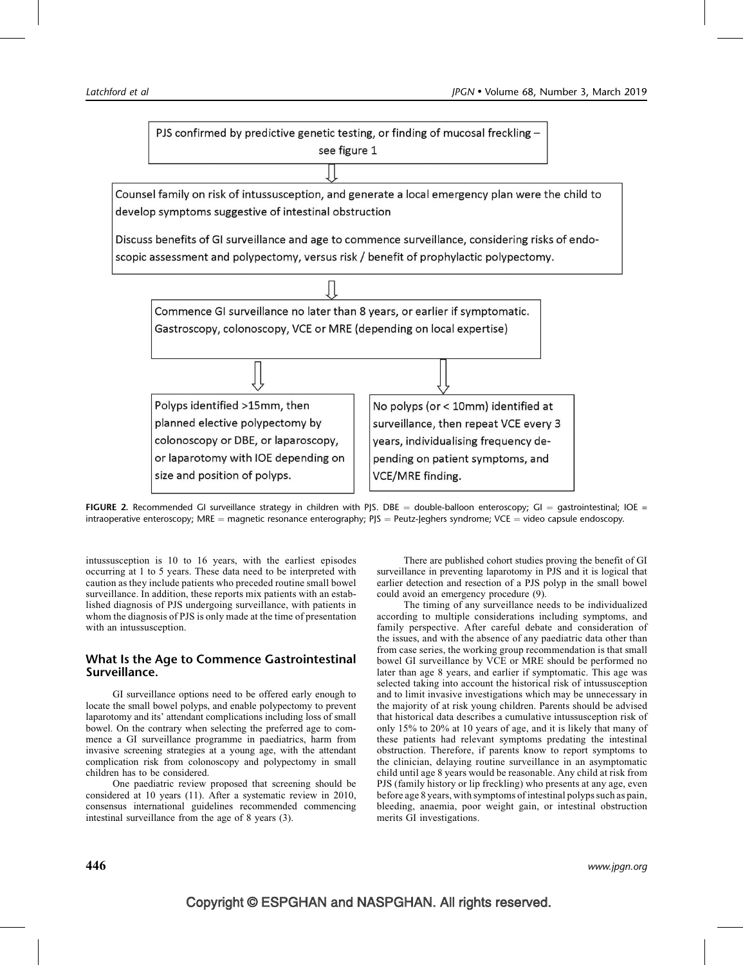PJS confirmed by predictive genetic testing, or finding of mucosal freckling see figure 1

Counsel family on risk of intussusception, and generate a local emergency plan were the child to develop symptoms suggestive of intestinal obstruction

Discuss benefits of GI surveillance and age to commence surveillance, considering risks of endoscopic assessment and polypectomy, versus risk / benefit of prophylactic polypectomy.





intussusception is 10 to 16 years, with the earliest episodes occurring at 1 to 5 years. These data need to be interpreted with caution as they include patients who preceded routine small bowel surveillance. In addition, these reports mix patients with an established diagnosis of PJS undergoing surveillance, with patients in whom the diagnosis of PJS is only made at the time of presentation with an intussusception.

# What Is the Age to Commence Gastrointestinal Surveillance.

GI surveillance options need to be offered early enough to locate the small bowel polyps, and enable polypectomy to prevent laparotomy and its' attendant complications including loss of small bowel. On the contrary when selecting the preferred age to commence a GI surveillance programme in paediatrics, harm from invasive screening strategies at a young age, with the attendant complication risk from colonoscopy and polypectomy in small children has to be considered.

One paediatric review proposed that screening should be considered at 10 years (11). After a systematic review in 2010, consensus international guidelines recommended commencing intestinal surveillance from the age of 8 years (3).

There are published cohort studies proving the benefit of GI surveillance in preventing laparotomy in PJS and it is logical that earlier detection and resection of a PJS polyp in the small bowel could avoid an emergency procedure (9).

The timing of any surveillance needs to be individualized according to multiple considerations including symptoms, and family perspective. After careful debate and consideration of the issues, and with the absence of any paediatric data other than from case series, the working group recommendation is that small bowel GI surveillance by VCE or MRE should be performed no later than age 8 years, and earlier if symptomatic. This age was selected taking into account the historical risk of intussusception and to limit invasive investigations which may be unnecessary in the majority of at risk young children. Parents should be advised that historical data describes a cumulative intussusception risk of only 15% to 20% at 10 years of age, and it is likely that many of these patients had relevant symptoms predating the intestinal obstruction. Therefore, if parents know to report symptoms to the clinician, delaying routine surveillance in an asymptomatic child until age 8 years would be reasonable. Any child at risk from PJS (family history or lip freckling) who presents at any age, even before age 8 years, with symptoms of intestinal polyps such as pain, bleeding, anaemia, poor weight gain, or intestinal obstruction merits GI investigations.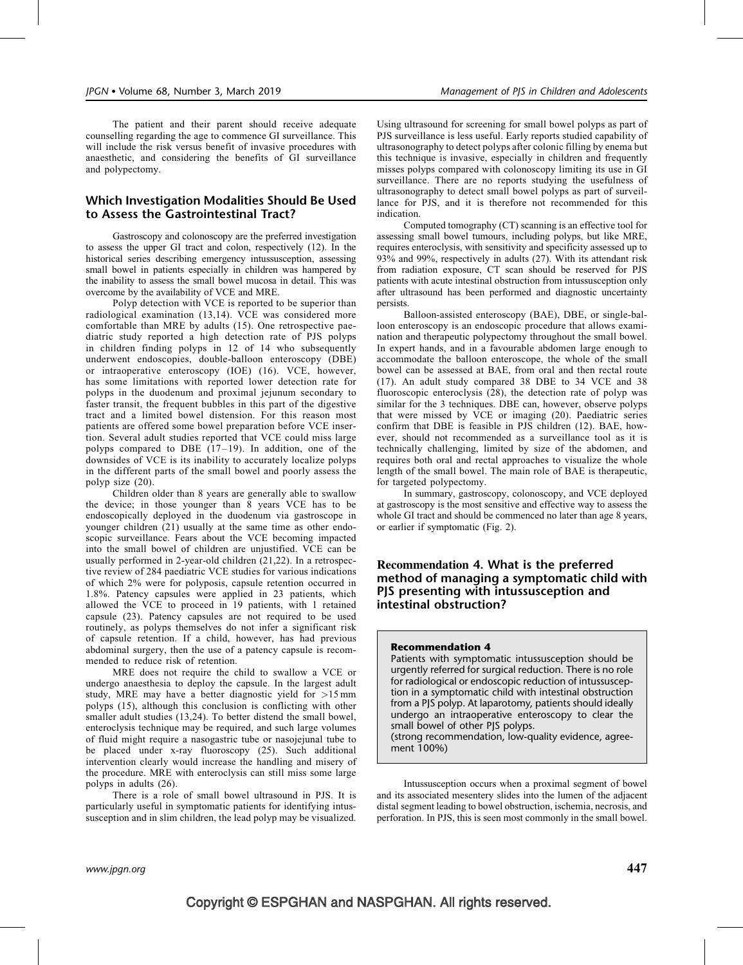The patient and their parent should receive adequate counselling regarding the age to commence GI surveillance. This will include the risk versus benefit of invasive procedures with anaesthetic, and considering the benefits of GI surveillance and polypectomy.

# Which Investigation Modalities Should Be Used to Assess the Gastrointestinal Tract?

Gastroscopy and colonoscopy are the preferred investigation to assess the upper GI tract and colon, respectively (12). In the historical series describing emergency intussusception, assessing small bowel in patients especially in children was hampered by the inability to assess the small bowel mucosa in detail. This was overcome by the availability of VCE and MRE.

Polyp detection with VCE is reported to be superior than radiological examination (13,14). VCE was considered more comfortable than MRE by adults (15). One retrospective paediatric study reported a high detection rate of PJS polyps in children finding polyps in 12 of 14 who subsequently underwent endoscopies, double-balloon enteroscopy (DBE) or intraoperative enteroscopy (IOE) (16). VCE, however, has some limitations with reported lower detection rate for polyps in the duodenum and proximal jejunum secondary to faster transit, the frequent bubbles in this part of the digestive tract and a limited bowel distension. For this reason most patients are offered some bowel preparation before VCE insertion. Several adult studies reported that VCE could miss large polyps compared to DBE  $(17-19)$ . In addition, one of the downsides of VCE is its inability to accurately localize polyps in the different parts of the small bowel and poorly assess the polyp size (20).

Children older than 8 years are generally able to swallow the device; in those younger than 8 years VCE has to be endoscopically deployed in the duodenum via gastroscope in younger children (21) usually at the same time as other endoscopic surveillance. Fears about the VCE becoming impacted into the small bowel of children are unjustified. VCE can be usually performed in 2-year-old children (21,22). In a retrospective review of 284 paediatric VCE studies for various indications of which 2% were for polyposis, capsule retention occurred in 1.8%. Patency capsules were applied in 23 patients, which allowed the VCE to proceed in 19 patients, with 1 retained capsule (23). Patency capsules are not required to be used routinely, as polyps themselves do not infer a significant risk of capsule retention. If a child, however, has had previous abdominal surgery, then the use of a patency capsule is recommended to reduce risk of retention.

MRE does not require the child to swallow a VCE or undergo anaesthesia to deploy the capsule. In the largest adult study, MRE may have a better diagnostic yield for >15 mm polyps (15), although this conclusion is conflicting with other smaller adult studies (13,24). To better distend the small bowel, enteroclysis technique may be required, and such large volumes of fluid might require a nasogastric tube or nasojejunal tube to be placed under x-ray fluoroscopy (25). Such additional intervention clearly would increase the handling and misery of the procedure. MRE with enteroclysis can still miss some large polyps in adults (26).

There is a role of small bowel ultrasound in PJS. It is particularly useful in symptomatic patients for identifying intussusception and in slim children, the lead polyp may be visualized.

Using ultrasound for screening for small bowel polyps as part of PJS surveillance is less useful. Early reports studied capability of ultrasonography to detect polyps after colonic filling by enema but this technique is invasive, especially in children and frequently misses polyps compared with colonoscopy limiting its use in GI surveillance. There are no reports studying the usefulness of ultrasonography to detect small bowel polyps as part of surveillance for PJS, and it is therefore not recommended for this indication.

Computed tomography (CT) scanning is an effective tool for assessing small bowel tumours, including polyps, but like MRE, requires enteroclysis, with sensitivity and specificity assessed up to 93% and 99%, respectively in adults (27). With its attendant risk from radiation exposure, CT scan should be reserved for PJS patients with acute intestinal obstruction from intussusception only after ultrasound has been performed and diagnostic uncertainty persists.

Balloon-assisted enteroscopy (BAE), DBE, or single-balloon enteroscopy is an endoscopic procedure that allows examination and therapeutic polypectomy throughout the small bowel. In expert hands, and in a favourable abdomen large enough to accommodate the balloon enteroscope, the whole of the small bowel can be assessed at BAE, from oral and then rectal route (17). An adult study compared 38 DBE to 34 VCE and 38 fluoroscopic enteroclysis (28), the detection rate of polyp was similar for the 3 techniques. DBE can, however, observe polyps that were missed by VCE or imaging (20). Paediatric series confirm that DBE is feasible in PJS children (12). BAE, however, should not recommended as a surveillance tool as it is technically challenging, limited by size of the abdomen, and requires both oral and rectal approaches to visualize the whole length of the small bowel. The main role of BAE is therapeutic, for targeted polypectomy.

In summary, gastroscopy, colonoscopy, and VCE deployed at gastroscopy is the most sensitive and effective way to assess the whole GI tract and should be commenced no later than age 8 years, or earlier if symptomatic (Fig. 2).

Recommendation 4. What is the preferred method of managing a symptomatic child with PJS presenting with intussusception and intestinal obstruction?

#### Recommendation 4

Patients with symptomatic intussusception should be urgently referred for surgical reduction. There is no role for radiological or endoscopic reduction of intussusception in a symptomatic child with intestinal obstruction from a PJS polyp. At laparotomy, patients should ideally undergo an intraoperative enteroscopy to clear the small bowel of other PJS polyps.

(strong recommendation, low-quality evidence, agreement 100%)

Intussusception occurs when a proximal segment of bowel and its associated mesentery slides into the lumen of the adjacent distal segment leading to bowel obstruction, ischemia, necrosis, and perforation. In PJS, this is seen most commonly in the small bowel.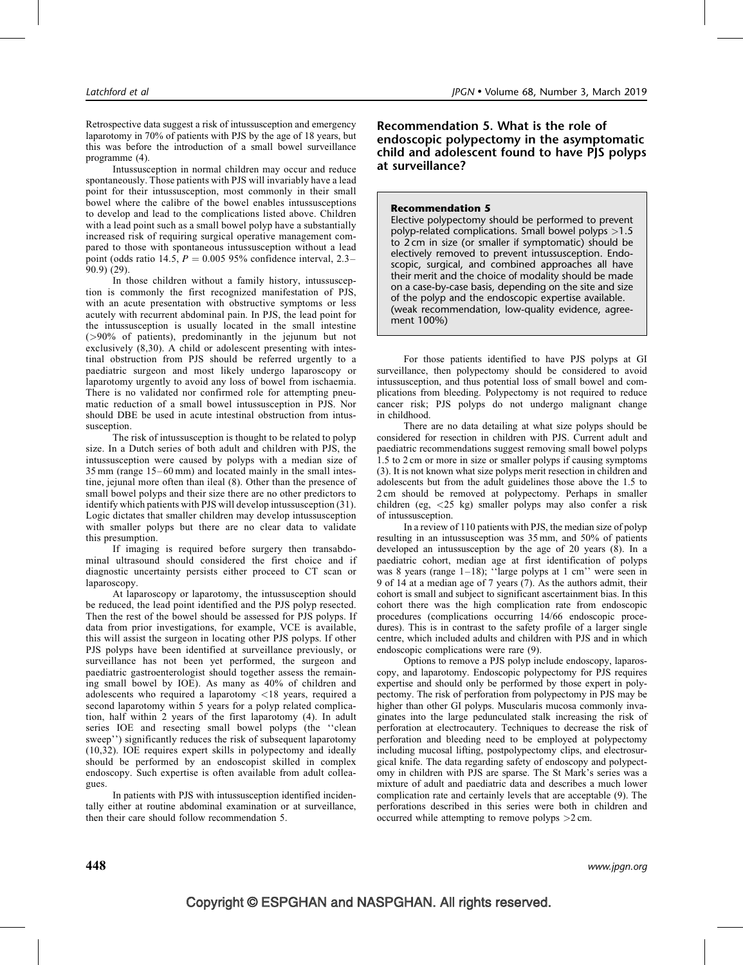Retrospective data suggest a risk of intussusception and emergency laparotomy in 70% of patients with PJS by the age of 18 years, but this was before the introduction of a small bowel surveillance programme (4).

Intussusception in normal children may occur and reduce spontaneously. Those patients with PJS will invariably have a lead point for their intussusception, most commonly in their small bowel where the calibre of the bowel enables intussusceptions to develop and lead to the complications listed above. Children with a lead point such as a small bowel polyp have a substantially increased risk of requiring surgical operative management compared to those with spontaneous intussusception without a lead point (odds ratio 14.5,  $P = 0.005$  95% confidence interval, 2.3– 90.9) (29).

In those children without a family history, intussusception is commonly the first recognized manifestation of PJS, with an acute presentation with obstructive symptoms or less acutely with recurrent abdominal pain. In PJS, the lead point for the intussusception is usually located in the small intestine (>90% of patients), predominantly in the jejunum but not exclusively (8,30). A child or adolescent presenting with intestinal obstruction from PJS should be referred urgently to a paediatric surgeon and most likely undergo laparoscopy or laparotomy urgently to avoid any loss of bowel from ischaemia. There is no validated nor confirmed role for attempting pneumatic reduction of a small bowel intussusception in PJS. Nor should DBE be used in acute intestinal obstruction from intussusception.

The risk of intussusception is thought to be related to polyp size. In a Dutch series of both adult and children with PJS, the intussusception were caused by polyps with a median size of 35 mm (range 15–60 mm) and located mainly in the small intestine, jejunal more often than ileal (8). Other than the presence of small bowel polyps and their size there are no other predictors to identify which patients with PJS will develop intussusception (31). Logic dictates that smaller children may develop intussusception with smaller polyps but there are no clear data to validate this presumption.

If imaging is required before surgery then transabdominal ultrasound should considered the first choice and if diagnostic uncertainty persists either proceed to CT scan or laparoscopy.

At laparoscopy or laparotomy, the intussusception should be reduced, the lead point identified and the PJS polyp resected. Then the rest of the bowel should be assessed for PJS polyps. If data from prior investigations, for example, VCE is available, this will assist the surgeon in locating other PJS polyps. If other PJS polyps have been identified at surveillance previously, or surveillance has not been yet performed, the surgeon and paediatric gastroenterologist should together assess the remaining small bowel by IOE). As many as 40% of children and adolescents who required a laparotomy <18 years, required a second laparotomy within 5 years for a polyp related complication, half within 2 years of the first laparotomy (4). In adult series IOE and resecting small bowel polyps (the ''clean sweep'') significantly reduces the risk of subsequent laparotomy (10,32). IOE requires expert skills in polypectomy and ideally should be performed by an endoscopist skilled in complex endoscopy. Such expertise is often available from adult colleagues.

In patients with PJS with intussusception identified incidentally either at routine abdominal examination or at surveillance, then their care should follow recommendation 5.

Recommendation 5. What is the role of endoscopic polypectomy in the asymptomatic child and adolescent found to have PJS polyps at surveillance?

#### Recommendation 5

Elective polypectomy should be performed to prevent polyp-related complications. Small bowel polyps >1.5 to 2 cm in size (or smaller if symptomatic) should be electively removed to prevent intussusception. Endoscopic, surgical, and combined approaches all have their merit and the choice of modality should be made on a case-by-case basis, depending on the site and size of the polyp and the endoscopic expertise available. (weak recommendation, low-quality evidence, agreement 100%)

For those patients identified to have PJS polyps at GI surveillance, then polypectomy should be considered to avoid intussusception, and thus potential loss of small bowel and complications from bleeding. Polypectomy is not required to reduce cancer risk; PJS polyps do not undergo malignant change in childhood.

There are no data detailing at what size polyps should be considered for resection in children with PJS. Current adult and paediatric recommendations suggest removing small bowel polyps 1.5 to 2 cm or more in size or smaller polyps if causing symptoms (3). It is not known what size polyps merit resection in children and adolescents but from the adult guidelines those above the 1.5 to 2 cm should be removed at polypectomy. Perhaps in smaller children (eg, <25 kg) smaller polyps may also confer a risk of intussusception.

In a review of 110 patients with PJS, the median size of polyp resulting in an intussusception was 35 mm, and 50% of patients developed an intussusception by the age of 20 years (8). In a paediatric cohort, median age at first identification of polyps was 8 years (range 1–18); ''large polyps at 1 cm'' were seen in 9 of 14 at a median age of 7 years (7). As the authors admit, their cohort is small and subject to significant ascertainment bias. In this cohort there was the high complication rate from endoscopic procedures (complications occurring 14/66 endoscopic procedures). This is in contrast to the safety profile of a larger single centre, which included adults and children with PJS and in which endoscopic complications were rare (9).

Options to remove a PJS polyp include endoscopy, laparoscopy, and laparotomy. Endoscopic polypectomy for PJS requires expertise and should only be performed by those expert in polypectomy. The risk of perforation from polypectomy in PJS may be higher than other GI polyps. Muscularis mucosa commonly invaginates into the large pedunculated stalk increasing the risk of perforation at electrocautery. Techniques to decrease the risk of perforation and bleeding need to be employed at polypectomy including mucosal lifting, postpolypectomy clips, and electrosurgical knife. The data regarding safety of endoscopy and polypectomy in children with PJS are sparse. The St Mark's series was a mixture of adult and paediatric data and describes a much lower complication rate and certainly levels that are acceptable (9). The perforations described in this series were both in children and occurred while attempting to remove polyps >2 cm.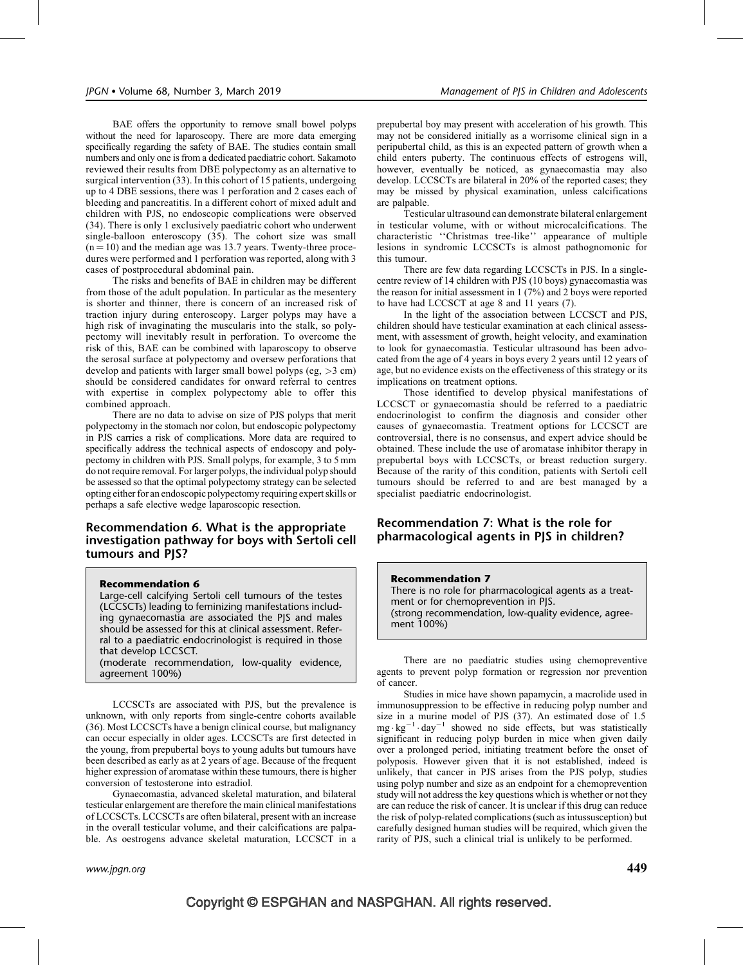BAE offers the opportunity to remove small bowel polyps without the need for laparoscopy. There are more data emerging specifically regarding the safety of BAE. The studies contain small numbers and only one is from a dedicated paediatric cohort. Sakamoto reviewed their results from DBE polypectomy as an alternative to surgical intervention (33). In this cohort of 15 patients, undergoing up to 4 DBE sessions, there was 1 perforation and 2 cases each of bleeding and pancreatitis. In a different cohort of mixed adult and children with PJS, no endoscopic complications were observed (34). There is only 1 exclusively paediatric cohort who underwent single-balloon enteroscopy (35). The cohort size was small  $(n = 10)$  and the median age was 13.7 years. Twenty-three procedures were performed and 1 perforation was reported, along with 3 cases of postprocedural abdominal pain.

The risks and benefits of BAE in children may be different from those of the adult population. In particular as the mesentery is shorter and thinner, there is concern of an increased risk of traction injury during enteroscopy. Larger polyps may have a high risk of invaginating the muscularis into the stalk, so polypectomy will inevitably result in perforation. To overcome the risk of this, BAE can be combined with laparoscopy to observe the serosal surface at polypectomy and oversew perforations that develop and patients with larger small bowel polyps (eg,  $>3$  cm) should be considered candidates for onward referral to centres with expertise in complex polypectomy able to offer this combined approach.

There are no data to advise on size of PJS polyps that merit polypectomy in the stomach nor colon, but endoscopic polypectomy in PJS carries a risk of complications. More data are required to specifically address the technical aspects of endoscopy and polypectomy in children with PJS. Small polyps, for example, 3 to 5 mm do not require removal. For larger polyps, the individual polyp should be assessed so that the optimal polypectomy strategy can be selected opting either for an endoscopic polypectomy requiring expert skills or perhaps a safe elective wedge laparoscopic resection.

## Recommendation 6. What is the appropriate investigation pathway for boys with Sertoli cell tumours and PJS?

#### Recommendation 6

Large-cell calcifying Sertoli cell tumours of the testes (LCCSCTs) leading to feminizing manifestations including gynaecomastia are associated the PJS and males should be assessed for this at clinical assessment. Referral to a paediatric endocrinologist is required in those that develop LCCSCT.

(moderate recommendation, low-quality evidence, agreement 100%)

LCCSCTs are associated with PJS, but the prevalence is unknown, with only reports from single-centre cohorts available (36). Most LCCSCTs have a benign clinical course, but malignancy can occur especially in older ages. LCCSCTs are first detected in the young, from prepubertal boys to young adults but tumours have been described as early as at 2 years of age. Because of the frequent higher expression of aromatase within these tumours, there is higher conversion of testosterone into estradiol.

Gynaecomastia, advanced skeletal maturation, and bilateral testicular enlargement are therefore the main clinical manifestations of LCCSCTs. LCCSCTs are often bilateral, present with an increase in the overall testicular volume, and their calcifications are palpable. As oestrogens advance skeletal maturation, LCCSCT in a

prepubertal boy may present with acceleration of his growth. This may not be considered initially as a worrisome clinical sign in a peripubertal child, as this is an expected pattern of growth when a child enters puberty. The continuous effects of estrogens will, however, eventually be noticed, as gynaecomastia may also develop. LCCSCTs are bilateral in 20% of the reported cases; they may be missed by physical examination, unless calcifications are palpable.

Testicular ultrasound can demonstrate bilateral enlargement in testicular volume, with or without microcalcifications. The characteristic ''Christmas tree-like'' appearance of multiple lesions in syndromic LCCSCTs is almost pathognomonic for this tumour.

There are few data regarding LCCSCTs in PJS. In a singlecentre review of 14 children with PJS (10 boys) gynaecomastia was the reason for initial assessment in 1 (7%) and 2 boys were reported to have had LCCSCT at age 8 and 11 years (7).

In the light of the association between LCCSCT and PJS, children should have testicular examination at each clinical assessment, with assessment of growth, height velocity, and examination to look for gynaecomastia. Testicular ultrasound has been advocated from the age of 4 years in boys every 2 years until 12 years of age, but no evidence exists on the effectiveness of this strategy or its implications on treatment options.

Those identified to develop physical manifestations of LCCSCT or gynaecomastia should be referred to a paediatric endocrinologist to confirm the diagnosis and consider other causes of gynaecomastia. Treatment options for LCCSCT are controversial, there is no consensus, and expert advice should be obtained. These include the use of aromatase inhibitor therapy in prepubertal boys with LCCSCTs, or breast reduction surgery. Because of the rarity of this condition, patients with Sertoli cell tumours should be referred to and are best managed by a specialist paediatric endocrinologist.

# Recommendation 7: What is the role for pharmacological agents in PJS in children?

#### Recommendation 7

There is no role for pharmacological agents as a treatment or for chemoprevention in PJS. (strong recommendation, low-quality evidence, agreement 100%)

There are no paediatric studies using chemopreventive agents to prevent polyp formation or regression nor prevention of cancer.

Studies in mice have shown papamycin, a macrolide used in immunosuppression to be effective in reducing polyp number and size in a murine model of PJS (37). An estimated dose of 1.5  $mg \cdot kg^{-1} \cdot day^{-1}$  showed no side effects, but was statistically significant in reducing polyp burden in mice when given daily over a prolonged period, initiating treatment before the onset of polyposis. However given that it is not established, indeed is unlikely, that cancer in PJS arises from the PJS polyp, studies using polyp number and size as an endpoint for a chemoprevention study will not address the key questions which is whether or not they are can reduce the risk of cancer. It is unclear if this drug can reduce the risk of polyp-related complications (such as intussusception) but carefully designed human studies will be required, which given the rarity of PJS, such a clinical trial is unlikely to be performed.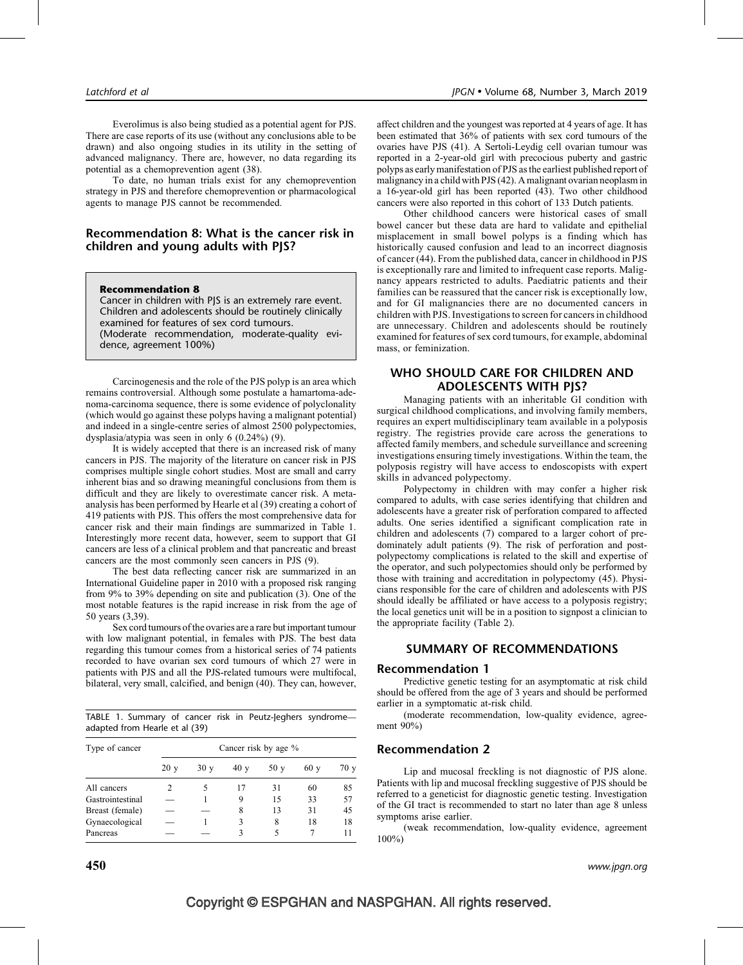Everolimus is also being studied as a potential agent for PJS. There are case reports of its use (without any conclusions able to be drawn) and also ongoing studies in its utility in the setting of advanced malignancy. There are, however, no data regarding its potential as a chemoprevention agent (38).

To date, no human trials exist for any chemoprevention strategy in PJS and therefore chemoprevention or pharmacological agents to manage PJS cannot be recommended.

## Recommendation 8: What is the cancer risk in children and young adults with PJS?

#### Recommendation 8

Cancer in children with PJS is an extremely rare event. Children and adolescents should be routinely clinically examined for features of sex cord tumours. (Moderate recommendation, moderate-quality evidence, agreement 100%)

Carcinogenesis and the role of the PJS polyp is an area which remains controversial. Although some postulate a hamartoma-adenoma-carcinoma sequence, there is some evidence of polyclonality (which would go against these polyps having a malignant potential) and indeed in a single-centre series of almost 2500 polypectomies, dysplasia/atypia was seen in only 6 (0.24%) (9).

It is widely accepted that there is an increased risk of many cancers in PJS. The majority of the literature on cancer risk in PJS comprises multiple single cohort studies. Most are small and carry inherent bias and so drawing meaningful conclusions from them is difficult and they are likely to overestimate cancer risk. A metaanalysis has been performed by Hearle et al (39) creating a cohort of 419 patients with PJS. This offers the most comprehensive data for cancer risk and their main findings are summarized in Table 1. Interestingly more recent data, however, seem to support that GI cancers are less of a clinical problem and that pancreatic and breast cancers are the most commonly seen cancers in PJS (9).

The best data reflecting cancer risk are summarized in an International Guideline paper in 2010 with a proposed risk ranging from 9% to 39% depending on site and publication (3). One of the most notable features is the rapid increase in risk from the age of 50 years (3,39).

Sex cord tumours of the ovaries are a rare but important tumour with low malignant potential, in females with PJS. The best data regarding this tumour comes from a historical series of 74 patients recorded to have ovarian sex cord tumours of which 27 were in patients with PJS and all the PJS-related tumours were multifocal, bilateral, very small, calcified, and benign (40). They can, however,

TABLE 1. Summary of cancer risk in Peutz-Jeghers syndrome adapted from Hearle et al (39)

| Type of cancer   | Cancer risk by age % |     |     |     |     |      |
|------------------|----------------------|-----|-----|-----|-----|------|
|                  | 20y                  | 30y | 40y | 50y | 60v | 70 y |
| All cancers      |                      |     | 17  | 31  | 60  | 85   |
| Gastrointestinal |                      |     | 9   | 15  | 33  | 57   |
| Breast (female)  |                      |     | 8   | 13  | 31  | 45   |
| Gynaecological   |                      |     | 3   | 8   | 18  | 18   |
| Pancreas         |                      |     | ٦   | 5   |     | 11   |

affect children and the youngest was reported at 4 years of age. It has been estimated that 36% of patients with sex cord tumours of the ovaries have PJS (41). A Sertoli-Leydig cell ovarian tumour was reported in a 2-year-old girl with precocious puberty and gastric polyps as early manifestation of PJS as the earliest published report of malignancy in a child with PJS (42). A malignant ovarian neoplasm in a 16-year-old girl has been reported (43). Two other childhood cancers were also reported in this cohort of 133 Dutch patients.

Other childhood cancers were historical cases of small bowel cancer but these data are hard to validate and epithelial misplacement in small bowel polyps is a finding which has historically caused confusion and lead to an incorrect diagnosis of cancer (44). From the published data, cancer in childhood in PJS is exceptionally rare and limited to infrequent case reports. Malignancy appears restricted to adults. Paediatric patients and their families can be reassured that the cancer risk is exceptionally low, and for GI malignancies there are no documented cancers in children with PJS. Investigations to screen for cancers in childhood are unnecessary. Children and adolescents should be routinely examined for features of sex cord tumours, for example, abdominal mass, or feminization.

### WHO SHOULD CARE FOR CHILDREN AND **ADOLESCENTS WITH PIS?**

Managing patients with an inheritable GI condition with surgical childhood complications, and involving family members, requires an expert multidisciplinary team available in a polyposis registry. The registries provide care across the generations to affected family members, and schedule surveillance and screening investigations ensuring timely investigations. Within the team, the polyposis registry will have access to endoscopists with expert skills in advanced polypectomy.

Polypectomy in children with may confer a higher risk compared to adults, with case series identifying that children and adolescents have a greater risk of perforation compared to affected adults. One series identified a significant complication rate in children and adolescents (7) compared to a larger cohort of predominately adult patients (9). The risk of perforation and postpolypectomy complications is related to the skill and expertise of the operator, and such polypectomies should only be performed by those with training and accreditation in polypectomy (45). Physicians responsible for the care of children and adolescents with PJS should ideally be affiliated or have access to a polyposis registry; the local genetics unit will be in a position to signpost a clinician to the appropriate facility (Table 2).

# SUMMARY OF RECOMMENDATIONS

### Recommendation 1

Predictive genetic testing for an asymptomatic at risk child should be offered from the age of 3 years and should be performed earlier in a symptomatic at-risk child.

(moderate recommendation, low-quality evidence, agreement 90%)

### Recommendation 2

Lip and mucosal freckling is not diagnostic of PJS alone. Patients with lip and mucosal freckling suggestive of PJS should be referred to a geneticist for diagnostic genetic testing. Investigation of the GI tract is recommended to start no later than age 8 unless symptoms arise earlier.

(weak recommendation, low-quality evidence, agreement 100%)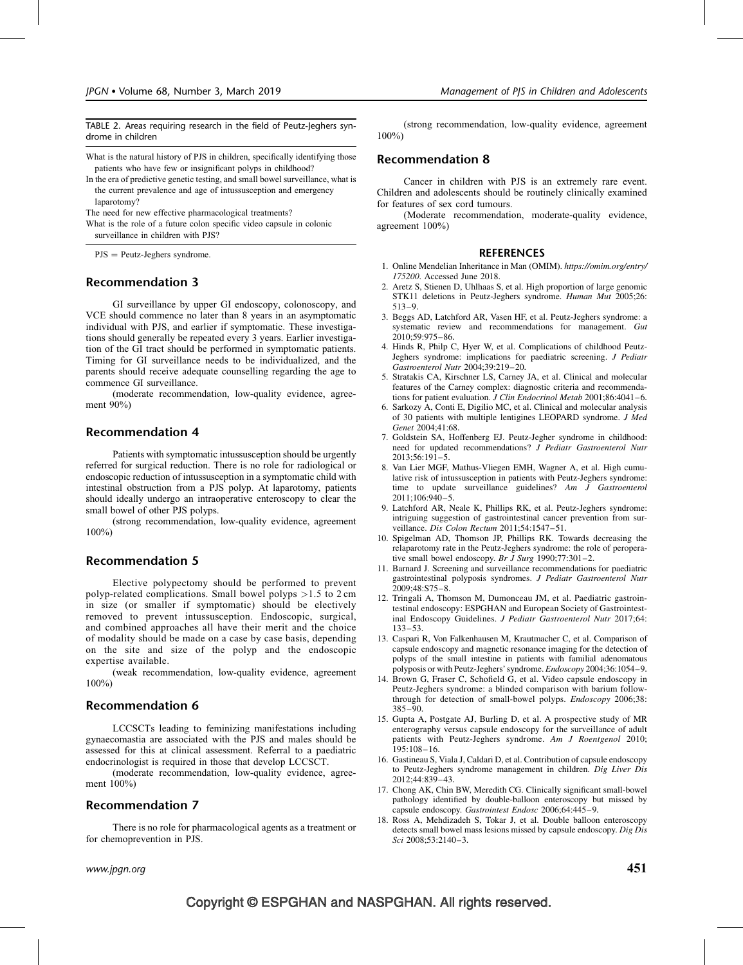TABLE 2. Areas requiring research in the field of Peutz-Jeghers syndrome in children

- What is the natural history of PJS in children, specifically identifying those patients who have few or insignificant polyps in childhood?
- In the era of predictive genetic testing, and small bowel surveillance, what is the current prevalence and age of intussusception and emergency laparotomy?

The need for new effective pharmacological treatments?

What is the role of a future colon specific video capsule in colonic surveillance in children with PJS?

 $PJS = Peutz-Jeghers syndrome.$ 

### Recommendation 3

GI surveillance by upper GI endoscopy, colonoscopy, and VCE should commence no later than 8 years in an asymptomatic individual with PJS, and earlier if symptomatic. These investigations should generally be repeated every 3 years. Earlier investigation of the GI tract should be performed in symptomatic patients. Timing for GI surveillance needs to be individualized, and the parents should receive adequate counselling regarding the age to commence GI surveillance.

(moderate recommendation, low-quality evidence, agreement 90%)

### Recommendation 4

Patients with symptomatic intussusception should be urgently referred for surgical reduction. There is no role for radiological or endoscopic reduction of intussusception in a symptomatic child with intestinal obstruction from a PJS polyp. At laparotomy, patients should ideally undergo an intraoperative enteroscopy to clear the small bowel of other PJS polyps.

(strong recommendation, low-quality evidence, agreement 100%)

### Recommendation 5

Elective polypectomy should be performed to prevent polyp-related complications. Small bowel polyps >1.5 to 2 cm in size (or smaller if symptomatic) should be electively removed to prevent intussusception. Endoscopic, surgical, and combined approaches all have their merit and the choice of modality should be made on a case by case basis, depending on the site and size of the polyp and the endoscopic expertise available.

(weak recommendation, low-quality evidence, agreement 100%)

### Recommendation 6

LCCSCTs leading to feminizing manifestations including gynaecomastia are associated with the PJS and males should be assessed for this at clinical assessment. Referral to a paediatric endocrinologist is required in those that develop LCCSCT.

(moderate recommendation, low-quality evidence, agreement 100%)

# Recommendation 7

There is no role for pharmacological agents as a treatment or for chemoprevention in PJS.

(strong recommendation, low-quality evidence, agreement 100%)

#### Recommendation 8

Cancer in children with PJS is an extremely rare event. Children and adolescents should be routinely clinically examined for features of sex cord tumours.

(Moderate recommendation, moderate-quality evidence, agreement 100%)

#### **REFERENCES**

- 1. Online Mendelian Inheritance in Man (OMIM). [https://omim.org/entry/](https://omim.org/entry/175200) [175200](https://omim.org/entry/175200). Accessed June 2018.
- 2. Aretz S, Stienen D, Uhlhaas S, et al. High proportion of large genomic STK11 deletions in Peutz-Jeghers syndrome. Human Mut 2005;26: 513–9.
- 3. Beggs AD, Latchford AR, Vasen HF, et al. Peutz-Jeghers syndrome: a systematic review and recommendations for management. Gut  $2010:59:975-86.$
- 4. Hinds R, Philp C, Hyer W, et al. Complications of childhood Peutz-Jeghers syndrome: implications for paediatric screening. J Pediatr Gastroenterol Nutr 2004;39:219–20.
- 5. Stratakis CA, Kirschner LS, Carney JA, et al. Clinical and molecular features of the Carney complex: diagnostic criteria and recommendations for patient evaluation. J Clin Endocrinol Metab 2001;86:4041-6.
- 6. Sarkozy A, Conti E, Digilio MC, et al. Clinical and molecular analysis of 30 patients with multiple lentigines LEOPARD syndrome. J Med Genet 2004;41:68.
- 7. Goldstein SA, Hoffenberg EJ. Peutz-Jegher syndrome in childhood: need for updated recommendations? J Pediatr Gastroenterol Nutr 2013;56:191–5.
- 8. Van Lier MGF, Mathus-Vliegen EMH, Wagner A, et al. High cumulative risk of intussusception in patients with Peutz-Jeghers syndrome: time to update surveillance guidelines? Am J Gastroenterol 2011;106:940–5.
- 9. Latchford AR, Neale K, Phillips RK, et al. Peutz-Jeghers syndrome: intriguing suggestion of gastrointestinal cancer prevention from surveillance. Dis Colon Rectum 2011;54:1547-51.
- 10. Spigelman AD, Thomson JP, Phillips RK. Towards decreasing the relaparotomy rate in the Peutz-Jeghers syndrome: the role of peroperative small bowel endoscopy. Br  $\bar{J}$  Surg 1990;77:301-2.
- 11. Barnard J. Screening and surveillance recommendations for paediatric gastrointestinal polyposis syndromes. J Pediatr Gastroenterol Nutr  $2009:48:ST5-8.$
- 12. Tringali A, Thomson M, Dumonceau JM, et al. Paediatric gastrointestinal endoscopy: ESPGHAN and European Society of Gastrointestinal Endoscopy Guidelines. J Pediatr Gastroenterol Nutr 2017;64: 133–53.
- 13. Caspari R, Von Falkenhausen M, Krautmacher C, et al. Comparison of capsule endoscopy and magnetic resonance imaging for the detection of polyps of the small intestine in patients with familial adenomatous polyposis or with Peutz-Jeghers' syndrome. Endoscopy 2004;36:1054–9.
- 14. Brown G, Fraser C, Schofield G, et al. Video capsule endoscopy in Peutz-Jeghers syndrome: a blinded comparison with barium followthrough for detection of small-bowel polyps. Endoscopy 2006;38: 385–90.
- 15. Gupta A, Postgate AJ, Burling D, et al. A prospective study of MR enterography versus capsule endoscopy for the surveillance of adult patients with Peutz-Jeghers syndrome. Am J Roentgenol 2010; 195:108 –16.
- 16. Gastineau S, Viala J, Caldari D, et al. Contribution of capsule endoscopy to Peutz-Jeghers syndrome management in children. Dig Liver Dis 2012;44:839–43.
- 17. Chong AK, Chin BW, Meredith CG. Clinically significant small-bowel pathology identified by double-balloon enteroscopy but missed by capsule endoscopy. Gastrointest Endosc 2006;64:445-9.
- 18. Ross A, Mehdizadeh S, Tokar J, et al. Double balloon enteroscopy detects small bowel mass lesions missed by capsule endoscopy. Dig Dis Sci 2008:53:2140-3.